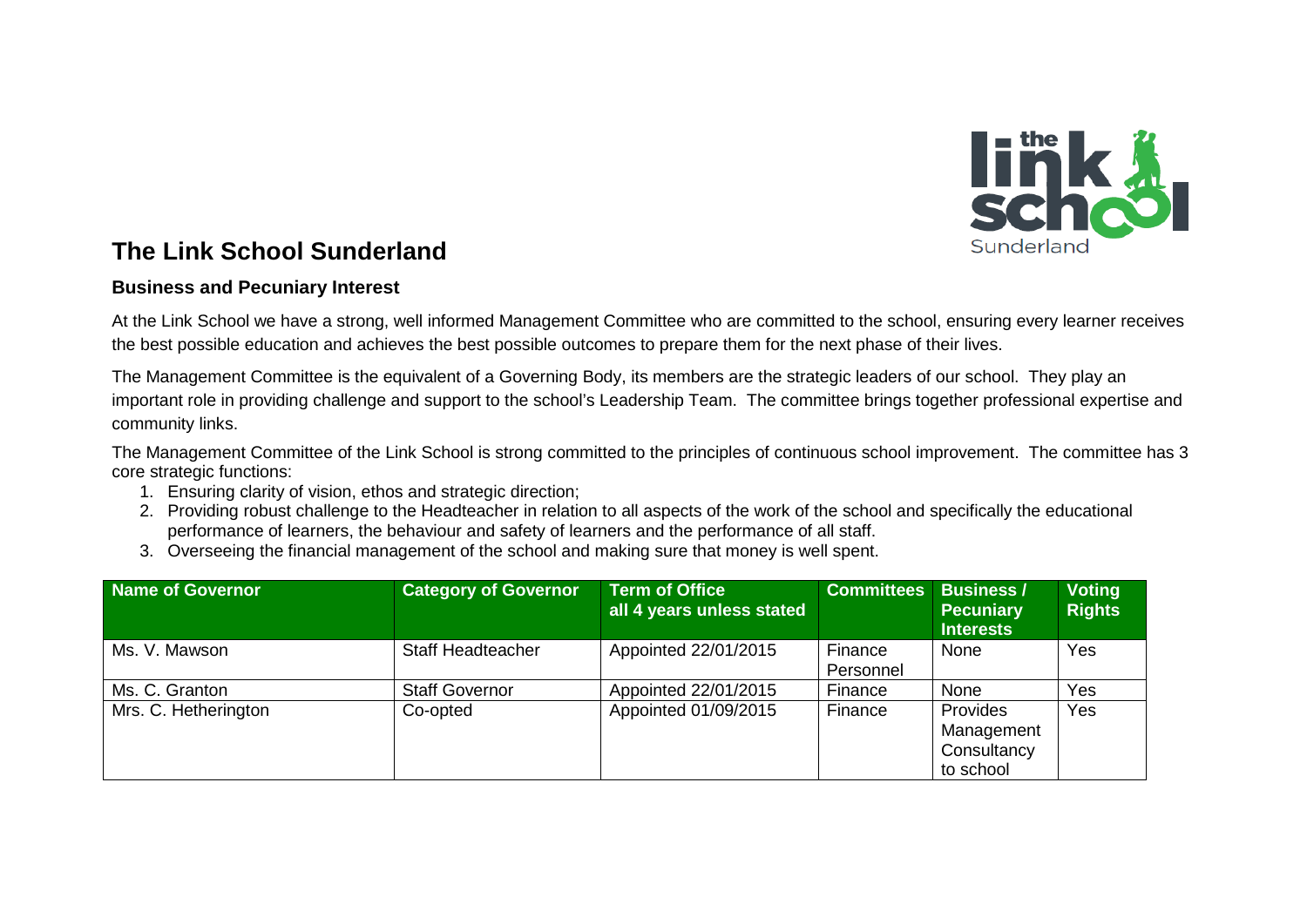

## **The Link School Sunderland**

## **Business and Pecuniary Interest**

At the Link School we have a strong, well informed Management Committee who are committed to the school, ensuring every learner receives the best possible education and achieves the best possible outcomes to prepare them for the next phase of their lives.

The Management Committee is the equivalent of a Governing Body, its members are the strategic leaders of our school. They play an important role in providing challenge and support to the school's Leadership Team. The committee brings together professional expertise and community links.

The Management Committee of the Link School is strong committed to the principles of continuous school improvement. The committee has 3 core strategic functions:

- 1. Ensuring clarity of vision, ethos and strategic direction;
- 2. Providing robust challenge to the Headteacher in relation to all aspects of the work of the school and specifically the educational performance of learners, the behaviour and safety of learners and the performance of all staff.
- 3. Overseeing the financial management of the school and making sure that money is well spent.

| Name of Governor     | <b>Category of Governor</b> | <b>Term of Office</b><br>all 4 years unless stated | <b>Committees</b>    | <b>Business /</b><br><b>Pecuniary</b><br><b>Interests</b> | <b>Voting</b><br><b>Rights</b> |
|----------------------|-----------------------------|----------------------------------------------------|----------------------|-----------------------------------------------------------|--------------------------------|
| Ms. V. Mawson        | <b>Staff Headteacher</b>    | Appointed 22/01/2015                               | Finance<br>Personnel | None                                                      | Yes                            |
| Ms. C. Granton       | <b>Staff Governor</b>       | Appointed 22/01/2015                               | Finance              | None                                                      | Yes                            |
| Mrs. C. Hetherington | Co-opted                    | Appointed 01/09/2015                               | Finance              | Provides<br>Management<br>Consultancy<br>to school        | Yes                            |